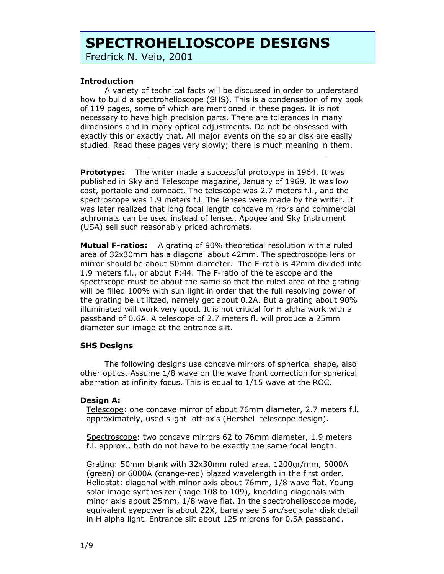# **SPECTROHELIOSCOPE DESIGNS**

Fredrick N. Veio, 2001

## **Introduction**

 $\overline{a}$ 

A variety of technical facts will be discussed in order to understand how to build a spectrohelioscope (SHS). This is a condensation of my book of 119 pages, some of which are mentioned in these pages. It is not necessary to have high precision parts. There are tolerances in many dimensions and in many optical adjustments. Do not be obsessed with exactly this or exactly that. All major events on the solar disk are easily studied. Read these pages very slowly; there is much meaning in them.

**Prototype:** The writer made a successful prototype in 1964. It was published in Sky and Telescope magazine, January of 1969. It was low cost, portable and compact. The telescope was 2.7 meters f.l., and the spectroscope was 1.9 meters f.l. The lenses were made by the writer. It was later realized that long focal length concave mirrors and commercial achromats can be used instead of lenses. Apogee and Sky Instrument (USA) sell such reasonably priced achromats.

**Mutual F-ratios:** A grating of 90% theoretical resolution with a ruled area of 32x30mm has a diagonal about 42mm. The spectroscope lens or mirror should be about 50mm diameter. The F-ratio is 42mm divided into 1.9 meters f.l., or about F:44. The F-ratio of the telescope and the spectrscope must be about the same so that the ruled area of the grating will be filled 100% with sun light in order that the full resolving power of the grating be utilitzed, namely get about 0.2A. But a grating about 90% illuminated will work very good. It is not critical for H alpha work with a passband of 0.6A. A telescope of 2.7 meters fl. will produce a 25mm diameter sun image at the entrance slit.

## **SHS Designs**

The following designs use concave mirrors of spherical shape, also other optics. Assume 1/8 wave on the wave front correction for spherical aberration at infinity focus. This is equal to 1/15 wave at the ROC.

## **Design A:**

Telescope: one concave mirror of about 76mm diameter, 2.7 meters f.l. approximately, used slight off-axis (Hershel telescope design).

Spectroscope: two concave mirrors 62 to 76mm diameter, 1.9 meters f.l. approx., both do not have to be exactly the same focal length.

Grating: 50mm blank with 32x30mm ruled area, 1200gr/mm, 5000A (green) or 6000A (orange-red) blazed wavelength in the first order. Heliostat: diagonal with minor axis about 76mm, 1/8 wave flat. Young solar image synthesizer (page 108 to 109), knodding diagonals with minor axis about 25mm, 1/8 wave flat. In the spectrohelioscope mode, equivalent eyepower is about 22X, barely see 5 arc/sec solar disk detail in H alpha light. Entrance slit about 125 microns for 0.5A passband.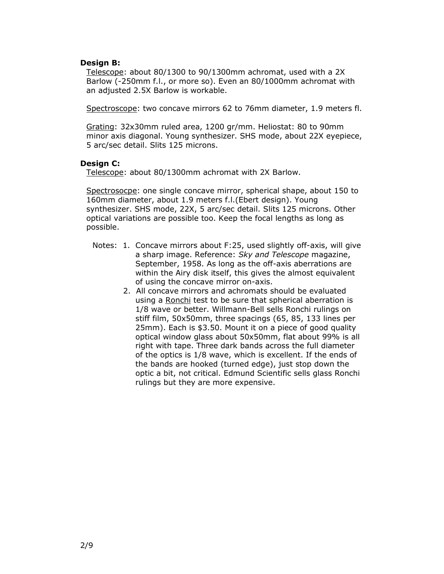#### **Design B:**

Telescope: about 80/1300 to 90/1300mm achromat, used with a 2X Barlow (-250mm f.l., or more so). Even an 80/1000mm achromat with an adjusted 2.5X Barlow is workable.

Spectroscope: two concave mirrors 62 to 76mm diameter, 1.9 meters fl.

Grating: 32x30mm ruled area, 1200 gr/mm. Heliostat: 80 to 90mm minor axis diagonal. Young synthesizer. SHS mode, about 22X eyepiece, 5 arc/sec detail. Slits 125 microns.

### **Design C:**

Telescope: about 80/1300mm achromat with 2X Barlow.

Spectrosocpe: one single concave mirror, spherical shape, about 150 to 160mm diameter, about 1.9 meters f.l.(Ebert design). Young synthesizer. SHS mode, 22X, 5 arc/sec detail. Slits 125 microns. Other optical variations are possible too. Keep the focal lengths as long as possible.

- Notes: 1. Concave mirrors about F:25, used slightly off-axis, will give a sharp image. Reference: *Sky and Telescope* magazine, September, 1958. As long as the off-axis aberrations are within the Airy disk itself, this gives the almost equivalent of using the concave mirror on-axis.
	- 2. All concave mirrors and achromats should be evaluated using a Ronchi test to be sure that spherical aberration is 1/8 wave or better. Willmann-Bell sells Ronchi rulings on stiff film, 50x50mm, three spacings (65, 85, 133 lines per 25mm). Each is \$3.50. Mount it on a piece of good quality optical window glass about 50x50mm, flat about 99% is all right with tape. Three dark bands across the full diameter of the optics is 1/8 wave, which is excellent. If the ends of the bands are hooked (turned edge), just stop down the optic a bit, not critical. Edmund Scientific sells glass Ronchi rulings but they are more expensive.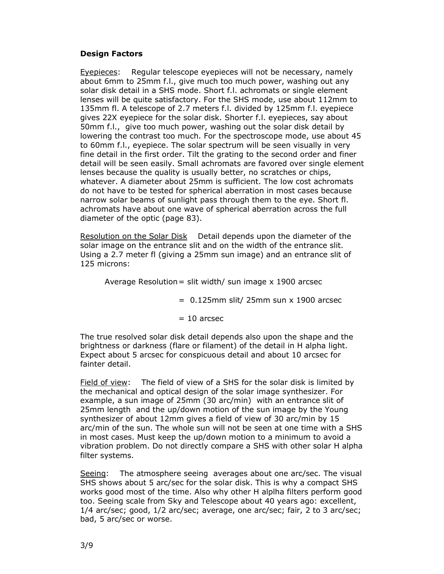## **Design Factors**

Eyepieces: Regular telescope eyepieces will not be necessary, namely about 6mm to 25mm f.l., give much too much power, washing out any solar disk detail in a SHS mode. Short f.l. achromats or single element lenses will be quite satisfactory. For the SHS mode, use about 112mm to 135mm fl. A telescope of 2.7 meters f.l. divided by 125mm f.l. eyepiece gives 22X eyepiece for the solar disk. Shorter f.l. eyepieces, say about 50mm f.l., give too much power, washing out the solar disk detail by lowering the contrast too much. For the spectroscope mode, use about 45 to 60mm f.l., eyepiece. The solar spectrum will be seen visually in very fine detail in the first order. Tilt the grating to the second order and finer detail will be seen easily. Small achromats are favored over single element lenses because the quality is usually better, no scratches or chips, whatever. A diameter about 25mm is sufficient. The low cost achromats do not have to be tested for spherical aberration in most cases because narrow solar beams of sunlight pass through them to the eye. Short fl. achromats have about one wave of spherical aberration across the full diameter of the optic (page 83).

Resolution on the Solar Disk Detail depends upon the diameter of the solar image on the entrance slit and on the width of the entrance slit. Using a 2.7 meter fl (giving a 25mm sun image) and an entrance slit of 125 microns:

Average Resolution = slit width/ sun image  $x$  1900 arcsec

 $= 0.125$ mm slit/ 25mm sun x 1900 arcsec

 $= 10$  arcsec

The true resolved solar disk detail depends also upon the shape and the brightness or darkness (flare or filament) of the detail in H alpha light. Expect about 5 arcsec for conspicuous detail and about 10 arcsec for fainter detail.

Field of view: The field of view of a SHS for the solar disk is limited by the mechanical and optical design of the solar image synthesizer. For example, a sun image of 25mm (30 arc/min) with an entrance slit of 25mm length and the up/down motion of the sun image by the Young synthesizer of about 12mm gives a field of view of 30 arc/min by 15 arc/min of the sun. The whole sun will not be seen at one time with a SHS in most cases. Must keep the up/down motion to a minimum to avoid a vibration problem. Do not directly compare a SHS with other solar H alpha filter systems.

Seeing: The atmosphere seeing averages about one arc/sec. The visual SHS shows about 5 arc/sec for the solar disk. This is why a compact SHS works good most of the time. Also why other H alplha filters perform good too. Seeing scale from Sky and Telescope about 40 years ago: excellent, 1/4 arc/sec; good, 1/2 arc/sec; average, one arc/sec; fair, 2 to 3 arc/sec; bad, 5 arc/sec or worse.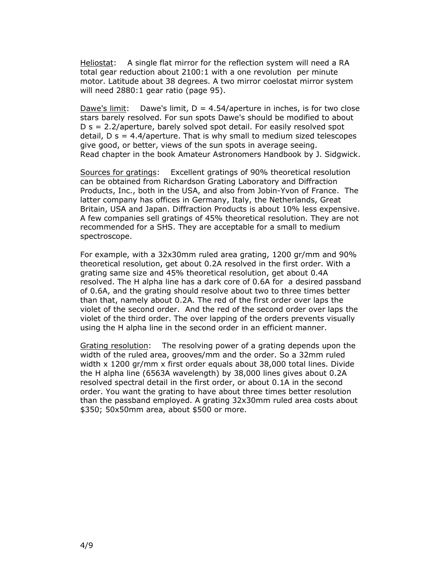Heliostat: A single flat mirror for the reflection system will need a RA total gear reduction about 2100:1 with a one revolution per minute motor. Latitude about 38 degrees. A two mirror coelostat mirror system will need 2880:1 gear ratio (page 95).

Dawe's limit: Dawe's limit,  $D = 4.54/$ aperture in inches, is for two close stars barely resolved. For sun spots Dawe's should be modified to about D s = 2.2/aperture, barely solved spot detail. For easily resolved spot detail,  $D$  s = 4.4/aperture. That is why small to medium sized telescopes give good, or better, views of the sun spots in average seeing. Read chapter in the book Amateur Astronomers Handbook by J. Sidgwick.

Sources for gratings: Excellent gratings of 90% theoretical resolution can be obtained from Richardson Grating Laboratory and Diffraction Products, Inc., both in the USA, and also from Jobin-Yvon of France. The latter company has offices in Germany, Italy, the Netherlands, Great Britain, USA and Japan. Diffraction Products is about 10% less expensive. A few companies sell gratings of 45% theoretical resolution. They are not recommended for a SHS. They are acceptable for a small to medium spectroscope.

For example, with a 32x30mm ruled area grating, 1200 gr/mm and 90% theoretical resolution, get about 0.2A resolved in the first order. With a grating same size and 45% theoretical resolution, get about 0.4A resolved. The H alpha line has a dark core of 0.6A for a desired passband of 0.6A, and the grating should resolve about two to three times better than that, namely about 0.2A. The red of the first order over laps the violet of the second order. And the red of the second order over laps the violet of the third order. The over lapping of the orders prevents visually using the H alpha line in the second order in an efficient manner.

Grating resolution: The resolving power of a grating depends upon the width of the ruled area, grooves/mm and the order. So a 32mm ruled width x 1200 gr/mm x first order equals about 38,000 total lines. Divide the H alpha line (6563A wavelength) by 38,000 lines gives about 0.2A resolved spectral detail in the first order, or about 0.1A in the second order. You want the grating to have about three times better resolution than the passband employed. A grating 32x30mm ruled area costs about \$350; 50x50mm area, about \$500 or more.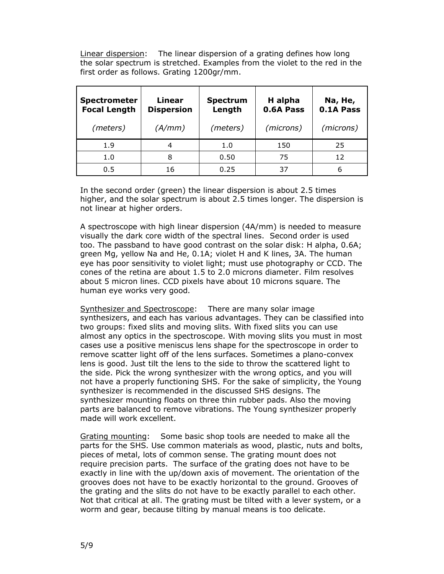Linear dispersion: The linear dispersion of a grating defines how long the solar spectrum is stretched. Examples from the violet to the red in the first order as follows. Grating 1200gr/mm.

| <b>Spectrometer</b><br><b>Focal Length</b> | Linear<br><b>Dispersion</b> | <b>Spectrum</b><br>Length | H alpha<br>0.6A Pass | Na, He,<br>0.1A Pass |
|--------------------------------------------|-----------------------------|---------------------------|----------------------|----------------------|
| (meters)                                   | (A/mm)                      | (meters)                  | (microns)            | (microns)            |
| 1.9                                        | 4                           | 1.0                       | 150                  | 25                   |
| 1.0                                        | 8                           | 0.50                      | 75                   | 12                   |
| 0.5                                        | 16                          | 0.25                      | 37                   | 6                    |

In the second order (green) the linear dispersion is about 2.5 times higher, and the solar spectrum is about 2.5 times longer. The dispersion is not linear at higher orders.

A spectroscope with high linear dispersion (4A/mm) is needed to measure visually the dark core width of the spectral lines. Second order is used too. The passband to have good contrast on the solar disk: H alpha, 0.6A; green Mg, yellow Na and He, 0.1A; violet H and K lines, 3A. The human eye has poor sensitivity to violet light; must use photography or CCD. The cones of the retina are about 1.5 to 2.0 microns diameter. Film resolves about 5 micron lines. CCD pixels have about 10 microns square. The human eye works very good.

Synthesizer and Spectroscope: There are many solar image synthesizers, and each has various advantages. They can be classified into two groups: fixed slits and moving slits. With fixed slits you can use almost any optics in the spectroscope. With moving slits you must in most cases use a positive meniscus lens shape for the spectroscope in order to remove scatter light off of the lens surfaces. Sometimes a plano-convex lens is good. Just tilt the lens to the side to throw the scattered light to the side. Pick the wrong synthesizer with the wrong optics, and you will not have a properly functioning SHS. For the sake of simplicity, the Young synthesizer is recommended in the discussed SHS designs. The synthesizer mounting floats on three thin rubber pads. Also the moving parts are balanced to remove vibrations. The Young synthesizer properly made will work excellent.

Grating mounting: Some basic shop tools are needed to make all the parts for the SHS. Use common materials as wood, plastic, nuts and bolts, pieces of metal, lots of common sense. The grating mount does not require precision parts. The surface of the grating does not have to be exactly in line with the up/down axis of movement. The orientation of the grooves does not have to be exactly horizontal to the ground. Grooves of the grating and the slits do not have to be exactly parallel to each other. Not that critical at all. The grating must be tilted with a lever system, or a worm and gear, because tilting by manual means is too delicate.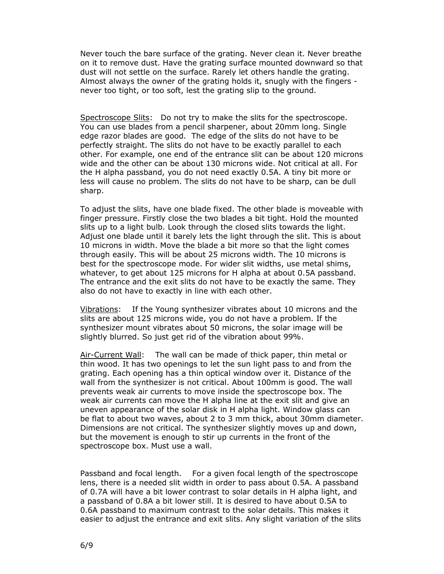Never touch the bare surface of the grating. Never clean it. Never breathe on it to remove dust. Have the grating surface mounted downward so that dust will not settle on the surface. Rarely let others handle the grating. Almost always the owner of the grating holds it, snugly with the fingers never too tight, or too soft, lest the grating slip to the ground.

Spectroscope Slits: Do not try to make the slits for the spectroscope. You can use blades from a pencil sharpener, about 20mm long. Single edge razor blades are good. The edge of the slits do not have to be perfectly straight. The slits do not have to be exactly parallel to each other. For example, one end of the entrance slit can be about 120 microns wide and the other can be about 130 microns wide. Not critical at all. For the H alpha passband, you do not need exactly 0.5A. A tiny bit more or less will cause no problem. The slits do not have to be sharp, can be dull sharp.

To adjust the slits, have one blade fixed. The other blade is moveable with finger pressure. Firstly close the two blades a bit tight. Hold the mounted slits up to a light bulb. Look through the closed slits towards the light. Adjust one blade until it barely lets the light through the slit. This is about 10 microns in width. Move the blade a bit more so that the light comes through easily. This will be about 25 microns width. The 10 microns is best for the spectroscope mode. For wider slit widths, use metal shims, whatever, to get about 125 microns for H alpha at about 0.5A passband. The entrance and the exit slits do not have to be exactly the same. They also do not have to exactly in line with each other.

Vibrations: If the Young synthesizer vibrates about 10 microns and the slits are about 125 microns wide, you do not have a problem. If the synthesizer mount vibrates about 50 microns, the solar image will be slightly blurred. So just get rid of the vibration about 99%.

Air-Current Wall: The wall can be made of thick paper, thin metal or thin wood. It has two openings to let the sun light pass to and from the grating. Each opening has a thin optical window over it. Distance of the wall from the synthesizer is not critical. About 100mm is good. The wall prevents weak air currents to move inside the spectroscope box. The weak air currents can move the H alpha line at the exit slit and give an uneven appearance of the solar disk in H alpha light. Window glass can be flat to about two waves, about 2 to 3 mm thick, about 30mm diameter. Dimensions are not critical. The synthesizer slightly moves up and down, but the movement is enough to stir up currents in the front of the spectroscope box. Must use a wall.

Passband and focal length. For a given focal length of the spectroscope lens, there is a needed slit width in order to pass about 0.5A. A passband of 0.7A will have a bit lower contrast to solar details in H alpha light, and a passband of 0.8A a bit lower still. It is desired to have about 0.5A to 0.6A passband to maximum contrast to the solar details. This makes it easier to adjust the entrance and exit slits. Any slight variation of the slits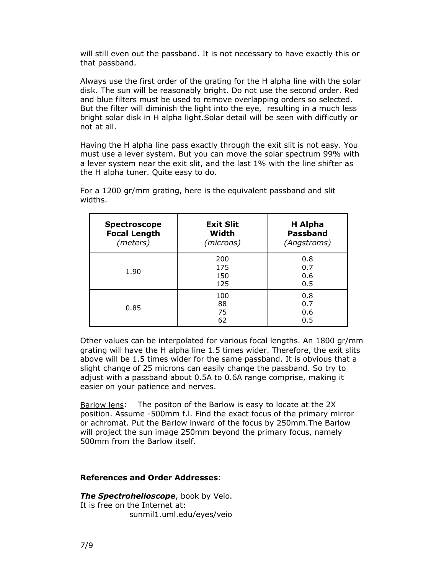will still even out the passband. It is not necessary to have exactly this or that passband.

Always use the first order of the grating for the H alpha line with the solar disk. The sun will be reasonably bright. Do not use the second order. Red and blue filters must be used to remove overlapping orders so selected. But the filter will diminish the light into the eye, resulting in a much less bright solar disk in H alpha light.Solar detail will be seen with difficutly or not at all.

Having the H alpha line pass exactly through the exit slit is not easy. You must use a lever system. But you can move the solar spectrum 99% with a lever system near the exit slit, and the last 1% with the line shifter as the H alpha tuner. Quite easy to do.

| <b>Spectroscope</b><br><b>Focal Length</b><br>(meters) | <b>Exit Slit</b><br>Width<br>(microns) | H Alpha<br><b>Passband</b><br>(Angstroms) |
|--------------------------------------------------------|----------------------------------------|-------------------------------------------|
| 1.90                                                   | 200<br>175<br>150<br>125               | 0.8<br>0.7<br>0.6<br>0.5                  |
| 0.85                                                   | 100<br>88<br>75<br>62                  | 0.8<br>0.7<br>0.6<br>0.5                  |

For a 1200 gr/mm grating, here is the equivalent passband and slit widths.

Other values can be interpolated for various focal lengths. An 1800 gr/mm grating will have the H alpha line 1.5 times wider. Therefore, the exit slits above will be 1.5 times wider for the same passband. It is obvious that a slight change of 25 microns can easily change the passband. So try to adjust with a passband about 0.5A to 0.6A range comprise, making it easier on your patience and nerves.

Barlow lens: The positon of the Barlow is easy to locate at the 2X position. Assume -500mm f.l. Find the exact focus of the primary mirror or achromat. Put the Barlow inward of the focus by 250mm.The Barlow will project the sun image 250mm beyond the primary focus, namely 500mm from the Barlow itself.

## **References and Order Addresses**:

*The Spectrohelioscope*, book by Veio. It is free on the Internet at: sunmil1.uml.edu/eyes/veio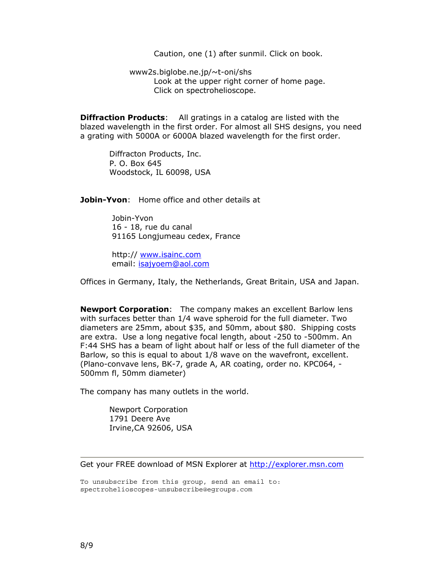Caution, one (1) after sunmil. Click on book.

 www2s.biglobe.ne.jp/~t-oni/shs Look at the upper right corner of home page. Click on spectrohelioscope.

**Diffraction Products**: All gratings in a catalog are listed with the blazed wavelength in the first order. For almost all SHS designs, you need a grating with 5000A or 6000A blazed wavelength for the first order.

 Diffracton Products, Inc. P. O. Box 645 Woodstock, IL 60098, USA

**Jobin-Yvon**: Home office and other details at

 Jobin-Yvon 16 - 18, rue du canal 91165 Longjumeau cedex, France

 http:// www.isainc.com email: isajyoem@aol.com

Offices in Germany, Italy, the Netherlands, Great Britain, USA and Japan.

**Newport Corporation**: The company makes an excellent Barlow lens with surfaces better than 1/4 wave spheroid for the full diameter. Two diameters are 25mm, about \$35, and 50mm, about \$80. Shipping costs are extra. Use a long negative focal length, about -250 to -500mm. An F:44 SHS has a beam of light about half or less of the full diameter of the Barlow, so this is equal to about 1/8 wave on the wavefront, excellent. (Plano-convave lens, BK-7, grade A, AR coating, order no. KPC064, - 500mm fl, 50mm diameter)

The company has many outlets in the world.

 Newport Corporation 1791 Deere Ave Irvine,CA 92606, USA

Get your FREE download of MSN Explorer at http://explorer.msn.com

To unsubscribe from this group, send an email to: spectrohelioscopes-unsubscribe@egroups.com